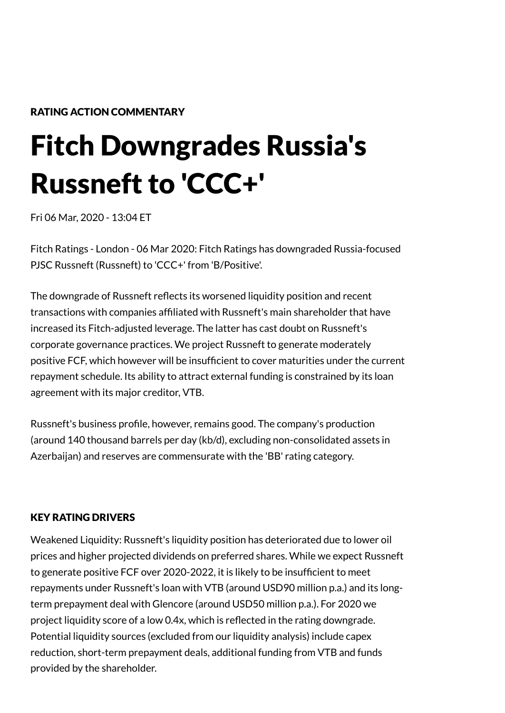## RATING ACTION COMMENTARY

# Fitch Downgrades Russia's Russneft to 'CCC+'

Fri 06 Mar, 2020 - 13:04 ET

Fitch Ratings - London - 06 Mar 2020: Fitch Ratings has downgraded Russia-focused PJSC Russneft (Russneft) to 'CCC+' from 'B/Positive'.

The downgrade of Russneft reflects its worsened liquidity position and recent transactions with companies af�liated with Russneft's main shareholder that have increased its Fitch-adjusted leverage. The latter has cast doubt on Russneft's corporate governance practices. We project Russneft to generate moderately positive FCF, which however will be insuf�cient to cover maturities under the current repayment schedule. Its ability to attract external funding is constrained by its loan agreement with its major creditor, VTB.

Russneft's business pro�le, however, remains good. The company's production (around 140 thousand barrels per day (kb/d), excluding non-consolidated assets in Azerbaijan) and reserves are commensurate with the 'BB' rating category.

## KEY RATING DRIVERS

Weakened Liquidity: Russneft's liquidity position has deteriorated due to lower oil prices and higher projected dividends on preferred shares. While we expect Russneft to generate positive FCF over 2020-2022, it is likely to be insufficient to meet repayments under Russneft's loan with VTB (around USD90 million p.a.) and its longterm prepayment deal with Glencore (around USD50 million p.a.). For 2020 we project liquidity score of a low 0.4x, which is reflected in the rating downgrade. Potential liquidity sources (excluded from our liquidity analysis) include capex reduction, short-term prepayment deals, additional funding from VTB and funds provided by the shareholder.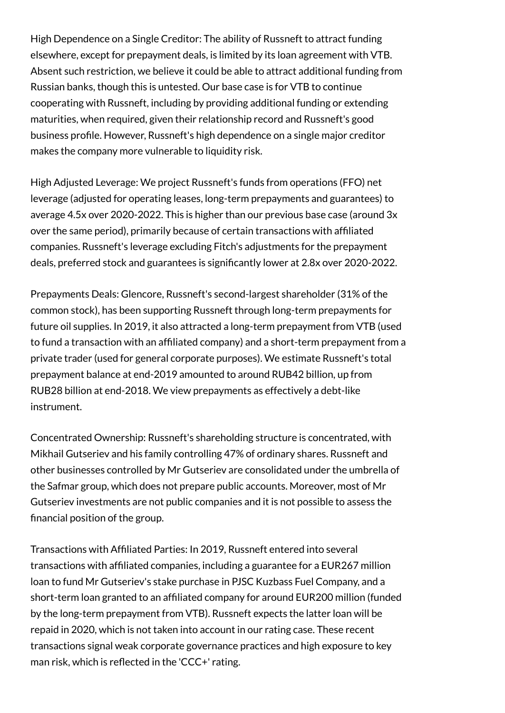High Dependence on a Single Creditor: The ability of Russneft to attract funding elsewhere, except for prepayment deals, is limited by its loan agreement with VTB. Absent such restriction, we believe it could be able to attract additional funding from Russian banks, though this is untested. Our base case is for VTB to continue cooperating with Russneft, including by providing additional funding or extending maturities, when required, given their relationship record and Russneft's good business pro�le. However, Russneft's high dependence on a single major creditor makes the company more vulnerable to liquidity risk.

High Adjusted Leverage: We project Russneft's funds from operations (FFO) net leverage (adjusted for operating leases, long-term prepayments and guarantees) to average 4.5x over 2020-2022. This is higher than our previous base case (around 3x over the same period), primarily because of certain transactions with affiliated companies. Russneft's leverage excluding Fitch's adjustments for the prepayment deals, preferred stock and guarantees is signi�cantly lower at 2.8x over 2020-2022.

Prepayments Deals: Glencore, Russneft's second-largest shareholder (31% of the common stock), has been supporting Russneft through long-term prepayments for future oil supplies. In 2019, it also attracted a long-term prepayment from VTB (used to fund a transaction with an af�liated company) and a short-term prepayment from a private trader (used for general corporate purposes). We estimate Russneft's total prepayment balance at end-2019 amounted to around RUB42 billion, up from RUB28 billion at end-2018. We view prepayments as effectively a debt-like instrument.

Concentrated Ownership: Russneft's shareholding structure is concentrated, with Mikhail Gutseriev and his family controlling 47% of ordinary shares. Russneft and other businesses controlled by Mr Gutseriev are consolidated under the umbrella of the Safmar group, which does not prepare public accounts. Moreover, most of Mr Gutseriev investments are not public companies and it is not possible to assess the financial position of the group.

Transactions with Af�liated Parties: In 2019, Russneft entered into several transactions with af�liated companies, including a guarantee for a EUR267 million loan to fund Mr Gutseriev's stake purchase in PJSC Kuzbass Fuel Company, and a short-term loan granted to an affiliated company for around EUR200 million (funded by the long-term prepayment from VTB). Russneft expects the latter loan will be repaid in 2020, which is not taken into account in our rating case. These recent transactions signal weak corporate governance practices and high exposure to key man risk, which is reflected in the 'CCC+' rating.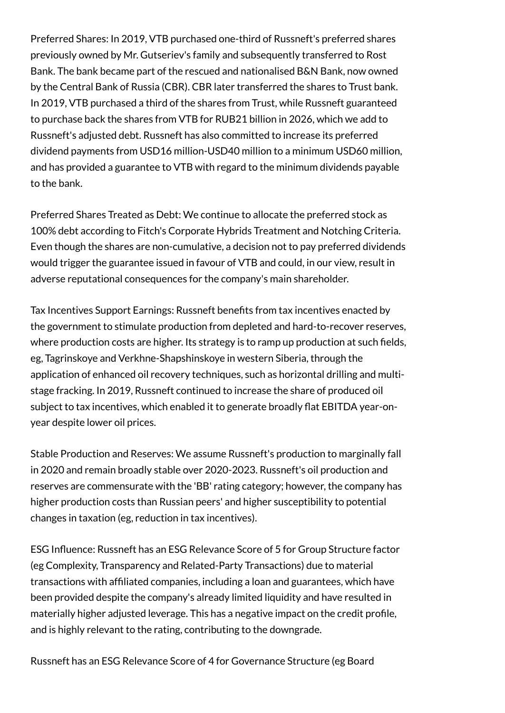Preferred Shares: In 2019, VTB purchased one-third of Russneft's preferred shares previously owned by Mr. Gutseriev's family and subsequently transferred to Rost Bank. The bank became part of the rescued and nationalised B&N Bank, now owned by the Central Bank of Russia (CBR). CBR later transferred the shares to Trust bank. In 2019, VTB purchased a third of the shares from Trust, while Russneft guaranteed to purchase back the shares from VTB for RUB21 billion in 2026, which we add to Russneft's adjusted debt. Russneft has also committed to increase its preferred dividend payments from USD16 million-USD40 million to a minimum USD60 million, and has provided a guarantee to VTB with regard to the minimum dividends payable to the bank.

Preferred Shares Treated as Debt: We continue to allocate the preferred stock as 100% debt according to Fitch's Corporate Hybrids Treatment and Notching Criteria. Even though the shares are non-cumulative, a decision not to pay preferred dividends would trigger the guarantee issued in favour of VTB and could, in our view, result in adverse reputational consequences for the company's main shareholder.

Tax Incentives Support Earnings: Russneft bene�ts from tax incentives enacted by the government to stimulate production from depleted and hard-to-recover reserves, where production costs are higher. Its strategy is to ramp up production at such fields, eg, Tagrinskoye and Verkhne-Shapshinskoye in western Siberia, through the application of enhanced oil recovery techniques, such as horizontal drilling and multistage fracking. In 2019, Russneft continued to increase the share of produced oil subject to tax incentives, which enabled it to generate broadly flat EBITDA year-onyear despite lower oil prices.

Stable Production and Reserves: We assume Russneft's production to marginally fall in 2020 and remain broadly stable over 2020-2023. Russneft's oil production and reserves are commensurate with the 'BB' rating category; however, the company has higher production costs than Russian peers' and higher susceptibility to potential changes in taxation (eg, reduction in tax incentives).

ESG Influence: Russneft has an ESG Relevance Score of 5 for Group Structure factor (eg Complexity, Transparency and Related-Party Transactions) due to material transactions with af�liated companies, including a loan and guarantees, which have been provided despite the company's already limited liquidity and have resulted in materially higher adjusted leverage. This has a negative impact on the credit profile, and is highly relevant to the rating, contributing to the downgrade.

Russneft has an ESG Relevance Score of 4 for Governance Structure (eg Board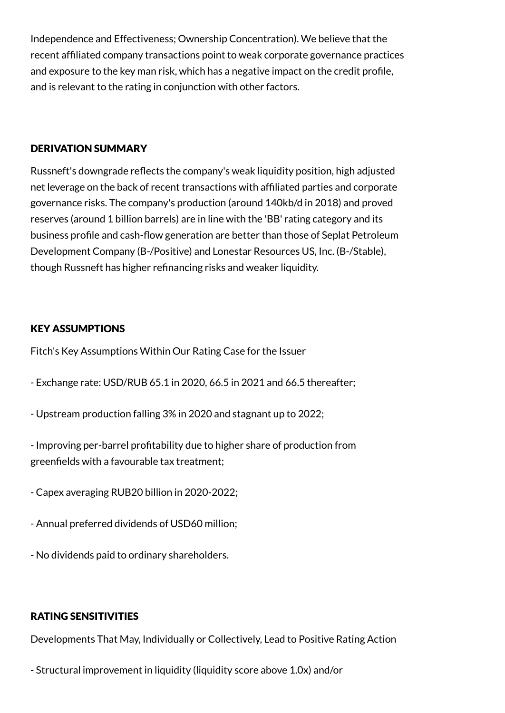Independence and Effectiveness; Ownership Concentration). We believe that the recent affiliated company transactions point to weak corporate governance practices and exposure to the key man risk, which has a negative impact on the credit profile, and is relevant to the rating in conjunction with other factors.

## DERIVATION SUMMARY

Russneft's downgrade reflects the company's weak liquidity position, high adjusted net leverage on the back of recent transactions with af�liated parties and corporate governance risks. The company's production (around 140kb/d in 2018) and proved reserves (around 1 billion barrels) are in line with the 'BB' rating category and its business profile and cash-flow generation are better than those of Seplat Petroleum Development Company (B-/Positive) and Lonestar Resources US, Inc. (B-/Stable), though Russneft has higher refinancing risks and weaker liquidity.

## KEY ASSUMPTIONS

Fitch's Key Assumptions Within Our Rating Case for the Issuer

- Exchange rate: USD/RUB 65.1 in 2020, 66.5 in 2021 and 66.5 thereafter;
- Upstream production falling 3% in 2020 and stagnant up to 2022;
- Improving per-barrel pro�tability due to higher share of production from greenfields with a favourable tax treatment;
- Capex averaging RUB20 billion in 2020-2022;
- Annual preferred dividends of USD60 million;
- No dividends paid to ordinary shareholders.

## RATING SENSITIVITIES

Developments That May, Individually or Collectively, Lead to Positive Rating Action

- Structural improvement in liquidity (liquidity score above 1.0x) and/or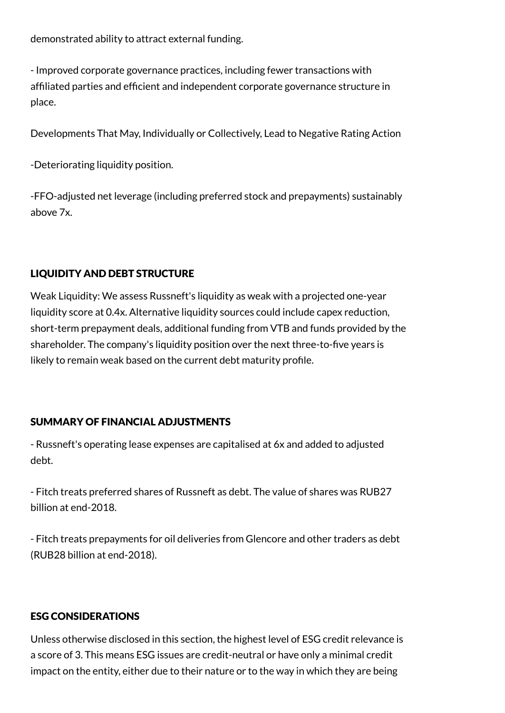demonstrated ability to attract external funding.

- Improved corporate governance practices, including fewer transactions with affiliated parties and efficient and independent corporate governance structure in place.

Developments That May, Individually or Collectively, Lead to Negative Rating Action

-Deteriorating liquidity position.

-FFO-adjusted net leverage (including preferred stock and prepayments) sustainably above 7x.

## LIQUIDITY AND DEBT STRUCTURE

Weak Liquidity: We assess Russneft's liquidity as weak with a projected one-year liquidity score at 0.4x. Alternative liquidity sources could include capex reduction, short-term prepayment deals, additional funding from VTB and funds provided by the shareholder. The company's liquidity position over the next three-to-five years is likely to remain weak based on the current debt maturity profile.

## SUMMARY OF FINANCIAL ADJUSTMENTS

- Russneft's operating lease expenses are capitalised at 6x and added to adjusted debt.

- Fitch treats preferred shares of Russneft as debt. The value of shares was RUB27 billion at end-2018.

- Fitch treats prepayments for oil deliveries from Glencore and other traders as debt (RUB28 billion at end-2018).

## ESG CONSIDERATIONS

Unless otherwise disclosed in this section, the highest level of ESG credit relevance is a score of 3. This means ESG issues are credit-neutral or have only a minimal credit impact on the entity, either due to their nature or to the way in which they are being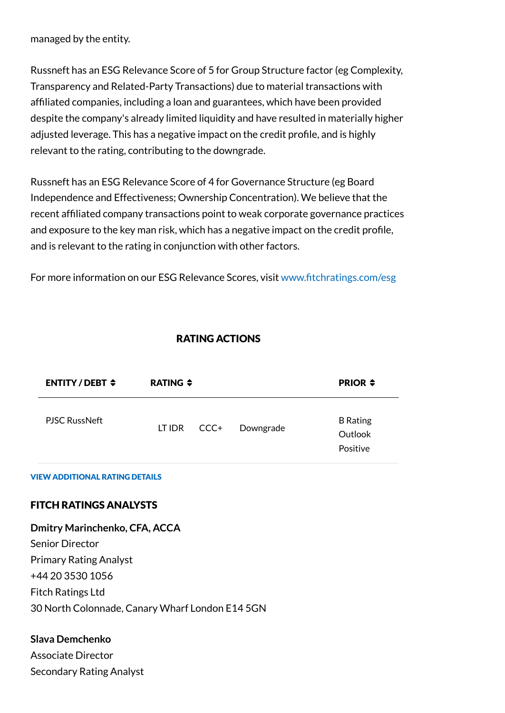managed by the entity.

Russneft has an ESG Relevance Score of 5 for Group Structure factor (eg Complexity, Transparency and Related-Party Transactions) due to material transactions with af�liated companies, including a loan and guarantees, which have been provided despite the company's already limited liquidity and have resulted in materially higher adjusted leverage. This has a negative impact on the credit profile, and is highly relevant to the rating, contributing to the downgrade.

Russneft has an ESG Relevance Score of 4 for Governance Structure (eg Board Independence and Effectiveness; Ownership Concentration). We believe that the recent affiliated company transactions point to weak corporate governance practices and exposure to the key man risk, which has a negative impact on the credit profile, and is relevant to the rating in conjunction with other factors.

For more information on our ESG Relevance Scores, visit www.fi[tchratings.com/esg](http://www.fitchratings.com/esg)

## RATING ACTIONS

| ENTITY/DEBT $\div$   | RATING $\div$ |      |           | <b>PRIOR <math>\div</math></b>         |
|----------------------|---------------|------|-----------|----------------------------------------|
| <b>PJSC RussNeft</b> | LT IDR        | CCC+ | Downgrade | <b>B</b> Rating<br>Outlook<br>Positive |

#### VIEW ADDITIONAL RATING DETAILS

## FITCH RATINGS ANALYSTS

**Dmitry Marinchenko, CFA, ACCA** Senior Director Primary Rating Analyst +44 20 3530 1056 Fitch Ratings Ltd 30 North Colonnade, Canary Wharf London E14 5GN

## **Slava Demchenko**

Associate Director Secondary Rating Analyst